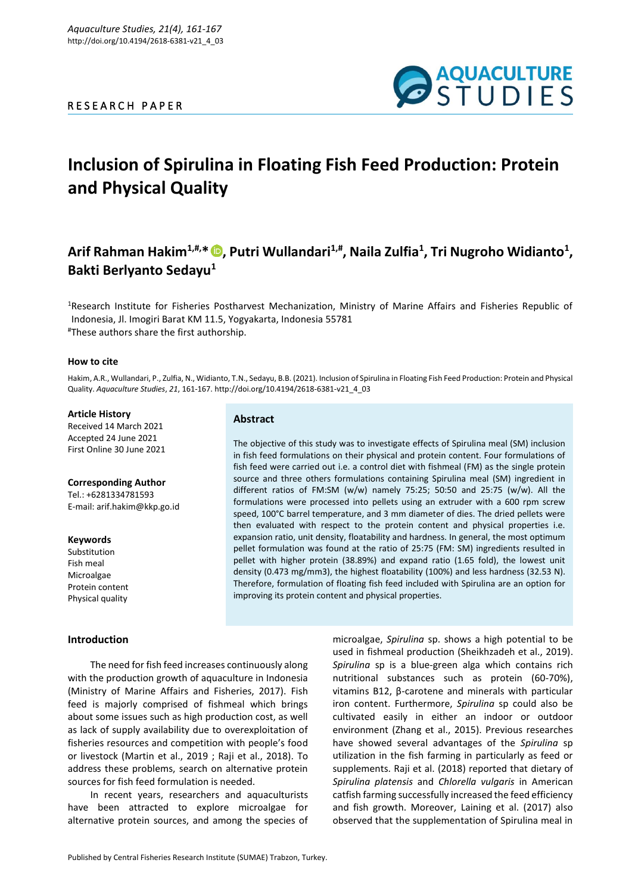

# **Inclusion of Spirulina in Floating Fish Feed Production: Protein and Physical Quality**

# **Arif Rahman Hakim1,#,\* [,](https://orcid.org/0000-0002-7988-1677) Putri Wullandari1,# , Naila Zulfia<sup>1</sup> , Tri Nugroho Widianto<sup>1</sup> , Bakti Berlyanto Sedayu<sup>1</sup>**

<sup>1</sup>Research Institute for Fisheries Postharvest Mechanization, Ministry of Marine Affairs and Fisheries Republic of Indonesia, Jl. Imogiri Barat KM 11.5, Yogyakarta, Indonesia 55781 #These authors share the first authorship.

#### **How to cite**

Hakim, A.R., Wullandari, P., Zulfia, N., Widianto, T.N., Sedayu, B.B. (2021). Inclusion of Spirulina in Floating Fish Feed Production: Protein and Physical Quality. *Aquaculture Studies*, *21*, 161-167. http://doi.org/10.4194/2618-6381-v21\_4\_03

#### **Article History**

Received 14 March 2021 Accepted 24 June 2021 First Online 30 June 2021

#### **Corresponding Author**

Tel.: +6281334781593 E-mail: arif.hakim@kkp.go.id

# **Keywords**

Substitution Fish meal **Microalgae** Protein content Physical quality

# **Introduction**

# **Abstract**

The objective of this study was to investigate effects of Spirulina meal (SM) inclusion in fish feed formulations on their physical and protein content. Four formulations of fish feed were carried out i.e. a control diet with fishmeal (FM) as the single protein source and three others formulations containing Spirulina meal (SM) ingredient in different ratios of FM:SM (w/w) namely 75:25; 50:50 and 25:75 (w/w). All the formulations were processed into pellets using an extruder with a 600 rpm screw speed, 100°C barrel temperature, and 3 mm diameter of dies. The dried pellets were then evaluated with respect to the protein content and physical properties i.e. expansion ratio, unit density, floatability and hardness. In general, the most optimum pellet formulation was found at the ratio of 25:75 (FM: SM) ingredients resulted in pellet with higher protein (38.89%) and expand ratio (1.65 fold), the lowest unit density (0.473 mg/mm3), the highest floatability (100%) and less hardness (32.53 N). Therefore, formulation of floating fish feed included with Spirulina are an option for improving its protein content and physical properties.

The need for fish feed increases continuously along with the production growth of aquaculture in Indonesia (Ministry of Marine Affairs and Fisheries, 2017). Fish feed is majorly comprised of fishmeal which brings about some issues such as high production cost, as well as lack of supply availability due to overexploitation of fisheries resources and competition with people's food or livestock (Martin et al., 2019 ; Raji et al., 2018). To address these problems, search on alternative protein sources for fish feed formulation is needed.

In recent years, researchers and aquaculturists have been attracted to explore microalgae for alternative protein sources, and among the species of microalgae, *Spirulina* sp. shows a high potential to be used in fishmeal production (Sheikhzadeh et al., 2019). *Spirulina* sp is a blue-green alga which contains rich nutritional substances such as protein (60-70%), vitamins B12, β-carotene and minerals with particular iron content. Furthermore, *Spirulina* sp could also be cultivated easily in either an indoor or outdoor environment (Zhang et al., 2015). Previous researches have showed several advantages of the *Spirulina* sp utilization in the fish farming in particularly as feed or supplements. Raji et al. (2018) reported that dietary of *Spirulina platensis* and *Chlorella vulgaris* in American catfish farming successfully increased the feed efficiency and fish growth. Moreover, Laining et al. (2017) also observed that the supplementation of Spirulina meal in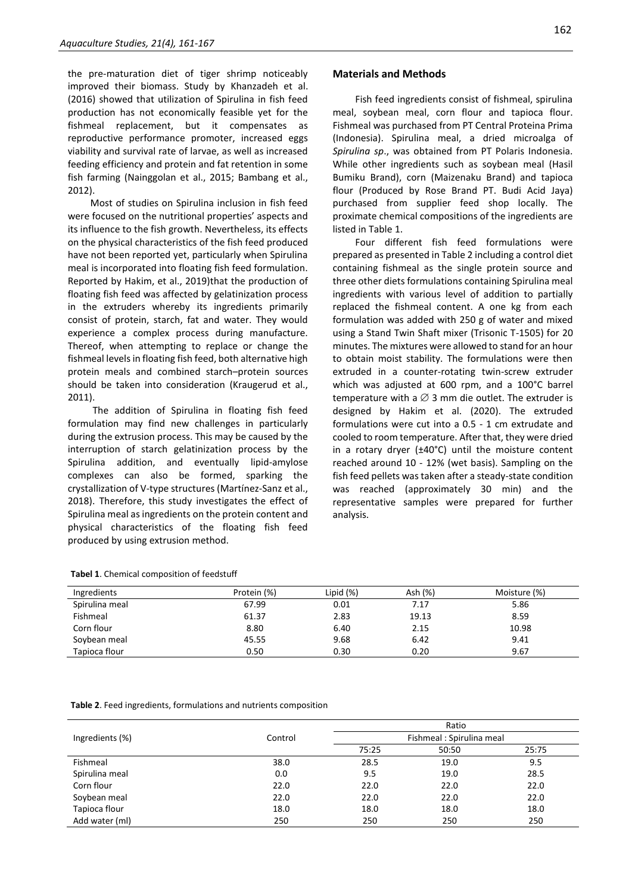the pre-maturation diet of tiger shrimp noticeably improved their biomass. Study by Khanzadeh et al. (2016) showed that utilization of Spirulina in fish feed production has not economically feasible yet for the fishmeal replacement, but it compensates as reproductive performance promoter, increased eggs viability and survival rate of larvae, as well as increased feeding efficiency and protein and fat retention in some fish farming (Nainggolan et al., 2015; Bambang et al., 2012).

Most of studies on Spirulina inclusion in fish feed were focused on the nutritional properties' aspects and its influence to the fish growth. Nevertheless, its effects on the physical characteristics of the fish feed produced have not been reported yet, particularly when Spirulina meal is incorporated into floating fish feed formulation. Reported by Hakim, et al., 2019)that the production of floating fish feed was affected by gelatinization process in the extruders whereby its ingredients primarily consist of protein, starch, fat and water. They would experience a complex process during manufacture. Thereof, when attempting to replace or change the fishmeal levels in floating fish feed, both alternative high protein meals and combined starch–protein sources should be taken into consideration (Kraugerud et al., 2011).

The addition of Spirulina in floating fish feed formulation may find new challenges in particularly during the extrusion process. This may be caused by the interruption of starch gelatinization process by the Spirulina addition, and eventually lipid-amylose complexes can also be formed, sparking the crystallization of V-type structures (Martínez-Sanz et al., 2018). Therefore, this study investigates the effect of Spirulina meal as ingredients on the protein content and physical characteristics of the floating fish feed produced by using extrusion method.

Fish feed ingredients consist of fishmeal, spirulina meal, soybean meal, corn flour and tapioca flour. Fishmeal was purchased from PT Central Proteina Prima (Indonesia). Spirulina meal, a dried microalga of *Spirulina sp*., was obtained from PT Polaris Indonesia. While other ingredients such as soybean meal (Hasil Bumiku Brand), corn (Maizenaku Brand) and tapioca flour (Produced by Rose Brand PT. Budi Acid Jaya) purchased from supplier feed shop locally. The proximate chemical compositions of the ingredients are listed in Table 1.

Four different fish feed formulations were prepared as presented in Table 2 including a control diet containing fishmeal as the single protein source and three other diets formulations containing Spirulina meal ingredients with various level of addition to partially replaced the fishmeal content. A one kg from each formulation was added with 250 g of water and mixed using a Stand Twin Shaft mixer (Trisonic T-1505) for 20 minutes. The mixtures were allowed to stand for an hour to obtain moist stability. The formulations were then extruded in a counter-rotating twin-screw extruder which was adjusted at 600 rpm, and a 100°C barrel temperature with a  $\varnothing$  3 mm die outlet. The extruder is designed by Hakim et al. (2020). The extruded formulations were cut into a 0.5 - 1 cm extrudate and cooled to room temperature. After that, they were dried in a rotary dryer  $(\pm 40^{\circ}C)$  until the moisture content reached around 10 - 12% (wet basis). Sampling on the fish feed pellets was taken after a steady-state condition was reached (approximately 30 min) and the representative samples were prepared for further analysis.

| Ingredients    | Protein (%) | Lipid (%) | Ash (%) | Moisture (%) |
|----------------|-------------|-----------|---------|--------------|
| Spirulina meal | 67.99       | 0.01      | 7.17    | 5.86         |
| Fishmeal       | 61.37       | 2.83      | 19.13   | 8.59         |
| Corn flour     | 8.80        | 6.40      | 2.15    | 10.98        |
| Soybean meal   | 45.55       | 9.68      | 6.42    | 9.41         |
| Tapioca flour  | 0.50        | 0.30      | 0.20    | 9.67         |

**Tabel 1**. Chemical composition of feedstuff

**Table 2**. Feed ingredients, formulations and nutrients composition

|                 |         | Ratio<br>Fishmeal: Spirulina meal |       |       |
|-----------------|---------|-----------------------------------|-------|-------|
| Ingredients (%) | Control |                                   |       |       |
|                 |         | 75:25                             | 50:50 | 25:75 |
| Fishmeal        | 38.0    | 28.5                              | 19.0  | 9.5   |
| Spirulina meal  | 0.0     | 9.5                               | 19.0  | 28.5  |
| Corn flour      | 22.0    | 22.0                              | 22.0  | 22.0  |
| Soybean meal    | 22.0    | 22.0                              | 22.0  | 22.0  |
| Tapioca flour   | 18.0    | 18.0                              | 18.0  | 18.0  |
| Add water (ml)  | 250     | 250                               | 250   | 250   |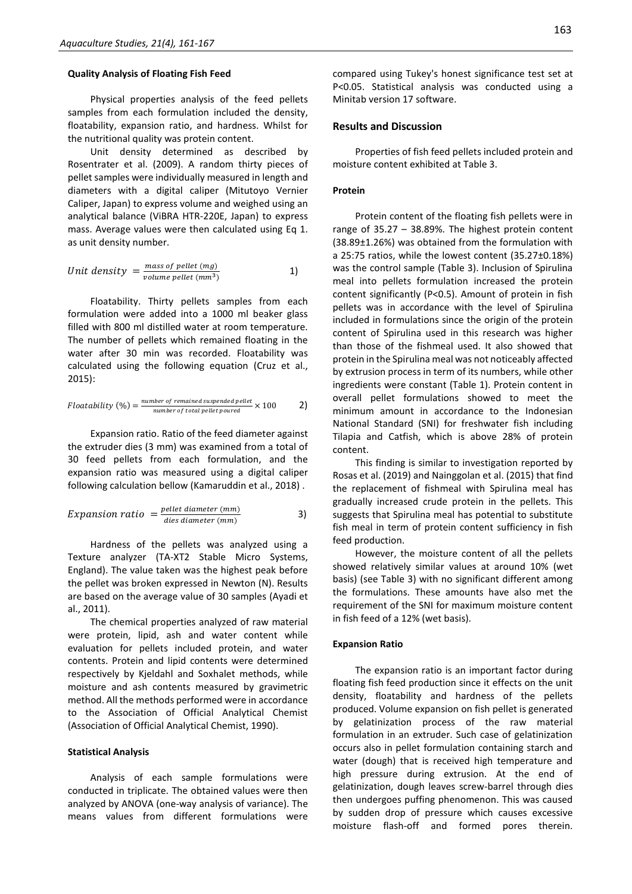#### **Quality Analysis of Floating Fish Feed**

Physical properties analysis of the feed pellets samples from each formulation included the density, floatability, expansion ratio, and hardness. Whilst for the nutritional quality was protein content.

Unit density determined as described by Rosentrater et al. (2009). A random thirty pieces of pellet samples were individually measured in length and diameters with a digital caliper (Mitutoyo Vernier Caliper, Japan) to express volume and weighed using an analytical balance (ViBRA HTR-220E, Japan) to express mass. Average values were then calculated using Eq 1. as unit density number.

Unit density = 
$$
\frac{mass of pellet (mg)}{volume pellet (mm^3)}
$$
 1)

Floatability. Thirty pellets samples from each formulation were added into a 1000 ml beaker glass filled with 800 ml distilled water at room temperature. The number of pellets which remained floating in the water after 30 min was recorded. Floatability was calculated using the following equation (Cruz et al., 2015):

$$
Floatability (%) = \frac{number\ of\ remained\ suspended\ pellet}{number\ of\ total\ pellet\ poured} \times 100 \qquad \qquad 2)
$$

Expansion ratio. Ratio of the feed diameter against the extruder dies (3 mm) was examined from a total of 30 feed pellets from each formulation, and the expansion ratio was measured using a digital caliper following calculation bellow (Kamaruddin et al., 2018) .

$$
Expansion ratio = \frac{pellet \ diameter \ (mm)}{dies \ diameter \ (mm)} \tag{3}
$$

Hardness of the pellets was analyzed using a Texture analyzer (TA-XT2 Stable Micro Systems, England). The value taken was the highest peak before the pellet was broken expressed in Newton (N). Results are based on the average value of 30 samples (Ayadi et al., 2011).

The chemical properties analyzed of raw material were protein, lipid, ash and water content while evaluation for pellets included protein, and water contents. Protein and lipid contents were determined respectively by Kjeldahl and Soxhalet methods, while moisture and ash contents measured by gravimetric method. All the methods performed were in accordance to the Association of Official Analytical Chemist (Association of Official Analytical Chemist, 1990).

#### **Statistical Analysis**

Analysis of each sample formulations were conducted in triplicate. The obtained values were then analyzed by ANOVA (one-way analysis of variance). The means values from different formulations were compared using Tukey's honest significance test set at P<0.05. Statistical analysis was conducted using a Minitab version 17 software.

## **Results and Discussion**

Properties of fish feed pellets included protein and moisture content exhibited at Table 3.

#### **Protein**

Protein content of the floating fish pellets were in range of 35.27 – 38.89%. The highest protein content (38.89±1.26%) was obtained from the formulation with a 25:75 ratios, while the lowest content (35.27±0.18%) was the control sample (Table 3). Inclusion of Spirulina meal into pellets formulation increased the protein content significantly (P<0.5). Amount of protein in fish pellets was in accordance with the level of Spirulina included in formulations since the origin of the protein content of Spirulina used in this research was higher than those of the fishmeal used. It also showed that protein in the Spirulina meal was not noticeably affected by extrusion process in term of its numbers, while other ingredients were constant (Table 1). Protein content in overall pellet formulations showed to meet the minimum amount in accordance to the Indonesian National Standard (SNI) for freshwater fish including Tilapia and Catfish, which is above 28% of protein content.

This finding is similar to investigation reported by Rosas et al. (2019) and Nainggolan et al. (2015) that find the replacement of fishmeal with Spirulina meal has gradually increased crude protein in the pellets. This suggests that Spirulina meal has potential to substitute fish meal in term of protein content sufficiency in fish feed production.

However, the moisture content of all the pellets showed relatively similar values at around 10% (wet basis) (see Table 3) with no significant different among the formulations. These amounts have also met the requirement of the SNI for maximum moisture content in fish feed of a 12% (wet basis).

#### **Expansion Ratio**

The expansion ratio is an important factor during floating fish feed production since it effects on the unit density, floatability and hardness of the pellets produced. Volume expansion on fish pellet is generated by gelatinization process of the raw material formulation in an extruder. Such case of gelatinization occurs also in pellet formulation containing starch and water (dough) that is received high temperature and high pressure during extrusion. At the end of gelatinization, dough leaves screw-barrel through dies then undergoes puffing phenomenon. This was caused by sudden drop of pressure which causes excessive moisture flash-off and formed pores therein.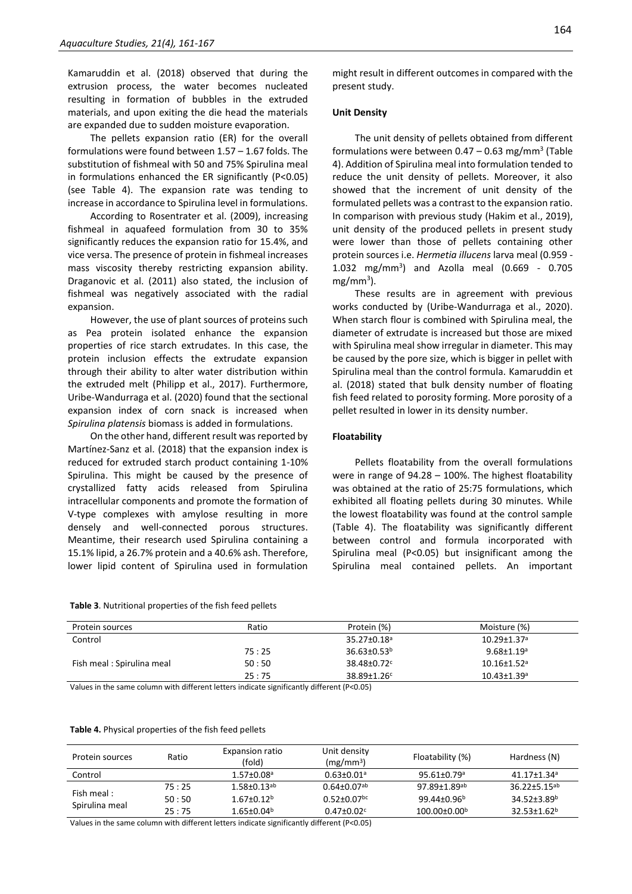Kamaruddin et al. (2018) observed that during the extrusion process, the water becomes nucleated resulting in formation of bubbles in the extruded materials, and upon exiting the die head the materials are expanded due to sudden moisture evaporation.

The pellets expansion ratio (ER) for the overall formulations were found between 1.57 – 1.67 folds. The substitution of fishmeal with 50 and 75% Spirulina meal in formulations enhanced the ER significantly (P<0.05) (see Table 4). The expansion rate was tending to increase in accordance to Spirulina level in formulations.

According to Rosentrater et al. (2009), increasing fishmeal in aquafeed formulation from 30 to 35% significantly reduces the expansion ratio for 15.4%, and vice versa. The presence of protein in fishmeal increases mass viscosity thereby restricting expansion ability. Draganovic et al. (2011) also stated, the inclusion of fishmeal was negatively associated with the radial expansion.

However, the use of plant sources of proteins such as Pea protein isolated enhance the expansion properties of rice starch extrudates. In this case, the protein inclusion effects the extrudate expansion through their ability to alter water distribution within the extruded melt (Philipp et al., 2017). Furthermore, Uribe-Wandurraga et al. (2020) found that the sectional expansion index of corn snack is increased when *Spirulina platensis* biomass is added in formulations.

On the other hand, different result was reported by Martínez-Sanz et al. (2018) that the expansion index is reduced for extruded starch product containing 1-10% Spirulina. This might be caused by the presence of crystallized fatty acids released from Spirulina intracellular components and promote the formation of V-type complexes with amylose resulting in more densely and well-connected porous structures. Meantime, their research used Spirulina containing a 15.1% lipid, a 26.7% protein and a 40.6% ash. Therefore, lower lipid content of Spirulina used in formulation

**Table 3**. Nutritional properties of the fish feed pellets

### **Unit Density**

The unit density of pellets obtained from different formulations were between  $0.47 - 0.63$  mg/mm<sup>3</sup> (Table 4). Addition of Spirulina meal into formulation tended to reduce the unit density of pellets. Moreover, it also showed that the increment of unit density of the formulated pellets was a contrast to the expansion ratio. In comparison with previous study (Hakim et al., 2019), unit density of the produced pellets in present study were lower than those of pellets containing other protein sources i.e. *Hermetia illucens* larva meal (0.959 - 1.032 mg/mm<sup>3</sup> ) and Azolla meal (0.669 - 0.705 mg/mm<sup>3</sup>).

These results are in agreement with previous works conducted by (Uribe-Wandurraga et al., 2020). When starch flour is combined with Spirulina meal, the diameter of extrudate is increased but those are mixed with Spirulina meal show irregular in diameter. This may be caused by the pore size, which is bigger in pellet with Spirulina meal than the control formula. Kamaruddin et al. (2018) stated that bulk density number of floating fish feed related to porosity forming. More porosity of a pellet resulted in lower in its density number.

#### **Floatability**

Pellets floatability from the overall formulations were in range of 94.28 – 100%. The highest floatability was obtained at the ratio of 25:75 formulations, which exhibited all floating pellets during 30 minutes. While the lowest floatability was found at the control sample (Table 4). The floatability was significantly different between control and formula incorporated with Spirulina meal (P<0.05) but insignificant among the Spirulina meal contained pellets. An important

| Protein sources           | Ratio | Protein (%)                   | Moisture (%)                  |
|---------------------------|-------|-------------------------------|-------------------------------|
| Control                   |       | 35.27±0.18 <sup>a</sup>       | $10.29 \pm 1.37$ <sup>a</sup> |
|                           | 75:25 | $36.63 \pm 0.53^b$            | $9.68 \pm 1.19$ <sup>a</sup>  |
| Fish meal: Spirulina meal | 50:50 | $38.48 \pm 0.72$ <sup>c</sup> | $10.16 \pm 1.52$ <sup>a</sup> |
|                           | 25:75 | 38.89±1.26c                   | $10.43 \pm 1.39$ <sup>a</sup> |

Values in the same column with different letters indicate significantly different (P<0.05)

|  |  | Table 4. Physical properties of the fish feed pellets |
|--|--|-------------------------------------------------------|
|--|--|-------------------------------------------------------|

| Protein sources              | Ratio | Expansion ratio<br>(fold)     | Unit density<br>$(mg/mm^3)$   | Floatability (%)              | Hardness (N)                   |
|------------------------------|-------|-------------------------------|-------------------------------|-------------------------------|--------------------------------|
| Control                      |       | $1.57 \pm 0.08$ <sup>a</sup>  | $0.63 \pm 0.01$ <sup>a</sup>  | $95.61 \pm 0.79$ <sup>a</sup> | 41.17±1.34ª                    |
| Fish meal:<br>Spirulina meal | 75:25 | $1.58 \pm 0.13$ <sup>ab</sup> | $0.64 \pm 0.07$ <sup>ab</sup> | $97.89 \pm 1.89$ ab           | $36.22 \pm 5.15$ <sup>ab</sup> |
|                              | 50:50 | $1.67 \pm 0.12^b$             | $0.52 \pm 0.07$ <sup>bc</sup> | $99.44 \pm 0.96^b$            | $34.52 \pm 3.89^b$             |
|                              | 25:75 | $1.65 \pm 0.04^b$             | $0.47 \pm 0.02$               | $100.00 \pm 0.00^{\circ}$     | $32.53 \pm 1.62^b$             |

Values in the same column with different letters indicate significantly different (P<0.05)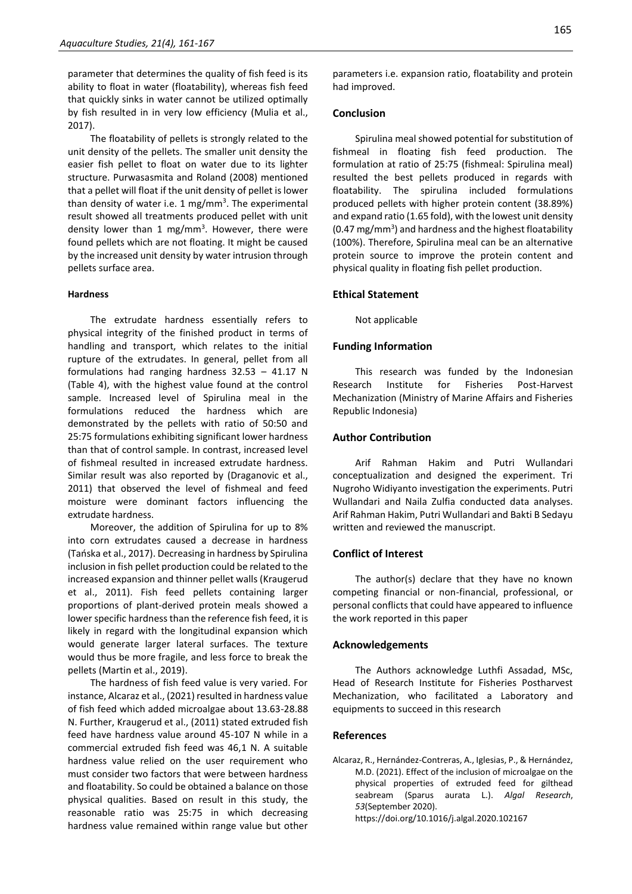parameter that determines the quality of fish feed is its ability to float in water (floatability), whereas fish feed that quickly sinks in water cannot be utilized optimally by fish resulted in in very low efficiency (Mulia et al., 2017).

The floatability of pellets is strongly related to the unit density of the pellets. The smaller unit density the easier fish pellet to float on water due to its lighter structure. Purwasasmita and Roland (2008) mentioned that a pellet will float if the unit density of pellet is lower than density of water i.e. 1 mg/mm<sup>3</sup>. The experimental result showed all treatments produced pellet with unit density lower than 1 mg/mm<sup>3</sup>. However, there were found pellets which are not floating. It might be caused by the increased unit density by water intrusion through pellets surface area.

#### **Hardness**

The extrudate hardness essentially refers to physical integrity of the finished product in terms of handling and transport, which relates to the initial rupture of the extrudates. In general, pellet from all formulations had ranging hardness 32.53 – 41.17 N (Table 4), with the highest value found at the control sample. Increased level of Spirulina meal in the formulations reduced the hardness which are demonstrated by the pellets with ratio of 50:50 and 25:75 formulations exhibiting significant lower hardness than that of control sample. In contrast, increased level of fishmeal resulted in increased extrudate hardness. Similar result was also reported by (Draganovic et al., 2011) that observed the level of fishmeal and feed moisture were dominant factors influencing the extrudate hardness.

Moreover, the addition of Spirulina for up to 8% into corn extrudates caused a decrease in hardness (Tańska et al., 2017). Decreasing in hardness by Spirulina inclusion in fish pellet production could be related to the increased expansion and thinner pellet walls (Kraugerud et al., 2011). Fish feed pellets containing larger proportions of plant-derived protein meals showed a lower specific hardness than the reference fish feed, it is likely in regard with the longitudinal expansion which would generate larger lateral surfaces. The texture would thus be more fragile, and less force to break the pellets (Martin et al., 2019).

The hardness of fish feed value is very varied. For instance, Alcaraz et al., (2021) resulted in hardness value of fish feed which added microalgae about 13.63-28.88 N. Further, Kraugerud et al., (2011) stated extruded fish feed have hardness value around 45-107 N while in a commercial extruded fish feed was 46,1 N. A suitable hardness value relied on the user requirement who must consider two factors that were between hardness and floatability. So could be obtained a balance on those physical qualities. Based on result in this study, the reasonable ratio was 25:75 in which decreasing hardness value remained within range value but other

## **Conclusion**

Spirulina meal showed potential for substitution of fishmeal in floating fish feed production. The formulation at ratio of 25:75 (fishmeal: Spirulina meal) resulted the best pellets produced in regards with floatability. The spirulina included formulations produced pellets with higher protein content (38.89%) and expand ratio (1.65 fold), with the lowest unit density (0.47 mg/mm<sup>3</sup>) and hardness and the highest floatability (100%). Therefore, Spirulina meal can be an alternative protein source to improve the protein content and physical quality in floating fish pellet production.

# **Ethical Statement**

Not applicable

# **Funding Information**

This research was funded by the Indonesian Research Institute for Fisheries Post-Harvest Mechanization (Ministry of Marine Affairs and Fisheries Republic Indonesia)

#### **Author Contribution**

Arif Rahman Hakim and Putri Wullandari conceptualization and designed the experiment. Tri Nugroho Widiyanto investigation the experiments. Putri Wullandari and Naila Zulfia conducted data analyses. Arif Rahman Hakim, Putri Wullandari and Bakti B Sedayu written and reviewed the manuscript.

# **Conflict of Interest**

The author(s) declare that they have no known competing financial or non-financial, professional, or personal conflicts that could have appeared to influence the work reported in this paper

#### **Acknowledgements**

The Authors acknowledge Luthfi Assadad, MSc, Head of Research Institute for Fisheries Postharvest Mechanization, who facilitated a Laboratory and equipments to succeed in this research

#### **References**

Alcaraz, R., Hernández-Contreras, A., Iglesias, P., & Hernández, M.D. (2021). Effect of the inclusion of microalgae on the physical properties of extruded feed for gilthead seabream (Sparus aurata L.). *Algal Research*, *53*(September 2020). https://doi.org/10.1016/j.algal.2020.102167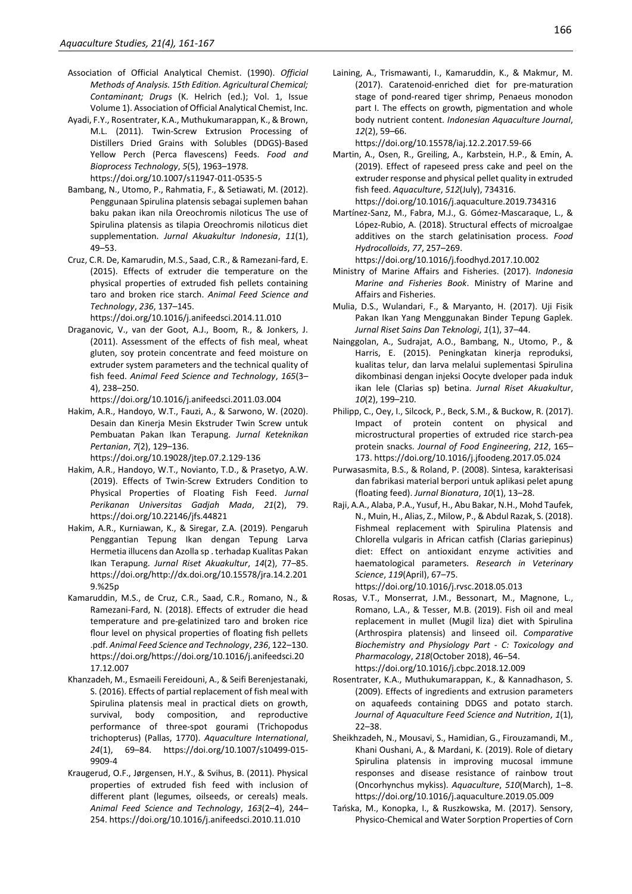- Association of Official Analytical Chemist. (1990). *Official Methods of Analysis. 15th Edition. Agricultural Chemical; Contaminant; Drugs* (K. Helrich (ed.); Vol. 1, Issue Volume 1). Association of Official Analytical Chemist, Inc.
- Ayadi, F.Y., Rosentrater, K.A., Muthukumarappan, K., & Brown, M.L. (2011). Twin-Screw Extrusion Processing of Distillers Dried Grains with Solubles (DDGS)-Based Yellow Perch (Perca flavescens) Feeds. *Food and Bioprocess Technology*, *5*(5), 1963–1978. https://doi.org/10.1007/s11947-011-0535-5
- Bambang, N., Utomo, P., Rahmatia, F., & Setiawati, M. (2012). Penggunaan Spirulina platensis sebagai suplemen bahan baku pakan ikan nila Oreochromis niloticus The use of Spirulina platensis as tilapia Oreochromis niloticus diet supplementation. *Jurnal Akuakultur Indonesia*, *11*(1), 49–53.
- Cruz, C.R. De, Kamarudin, M.S., Saad, C.R., & Ramezani-fard, E. (2015). Effects of extruder die temperature on the physical properties of extruded fish pellets containing taro and broken rice starch. *Animal Feed Science and Technology*, *236*, 137–145.

https://doi.org/10.1016/j.anifeedsci.2014.11.010

Draganovic, V., van der Goot, A.J., Boom, R., & Jonkers, J. (2011). Assessment of the effects of fish meal, wheat gluten, soy protein concentrate and feed moisture on extruder system parameters and the technical quality of fish feed. *Animal Feed Science and Technology*, *165*(3– 4), 238–250.

https://doi.org/10.1016/j.anifeedsci.2011.03.004

Hakim, A.R., Handoyo, W.T., Fauzi, A., & Sarwono, W. (2020). Desain dan Kinerja Mesin Ekstruder Twin Screw untuk Pembuatan Pakan Ikan Terapung. *Jurnal Keteknikan Pertanian*, *7*(2), 129–136.

https://doi.org/10.19028/jtep.07.2.129-136

- Hakim, A.R., Handoyo, W.T., Novianto, T.D., & Prasetyo, A.W. (2019). Effects of Twin-Screw Extruders Condition to Physical Properties of Floating Fish Feed. *Jurnal Perikanan Universitas Gadjah Mada*, *21*(2), 79. https://doi.org/10.22146/jfs.44821
- Hakim, A.R., Kurniawan, K., & Siregar, Z.A. (2019). Pengaruh Penggantian Tepung Ikan dengan Tepung Larva Hermetia illucens dan Azolla sp . terhadap Kualitas Pakan Ikan Terapung. *Jurnal Riset Akuakultur*, *14*(2), 77–85. https://doi.org/http://dx.doi.org/10.15578/jra.14.2.201 9.%25p
- Kamaruddin, M.S., de Cruz, C.R., Saad, C.R., Romano, N., & Ramezani-Fard, N. (2018). Effects of extruder die head temperature and pre-gelatinized taro and broken rice flour level on physical properties of floating fish pellets .pdf. *Animal Feed Science and Technology*, *236*, 122–130. https://doi.org/https://doi.org/10.1016/j.anifeedsci.20 17.12.007
- Khanzadeh, M., Esmaeili Fereidouni, A., & Seifi Berenjestanaki, S. (2016). Effects of partial replacement of fish meal with Spirulina platensis meal in practical diets on growth, survival, body composition, and reproductive performance of three-spot gourami (Trichopodus trichopterus) (Pallas, 1770). *Aquaculture International*, *24*(1), 69–84. https://doi.org/10.1007/s10499-015- 9909-4
- Kraugerud, O.F., Jørgensen, H.Y., & Svihus, B. (2011). Physical properties of extruded fish feed with inclusion of different plant (legumes, oilseeds, or cereals) meals. *Animal Feed Science and Technology*, *163*(2–4), 244– 254. https://doi.org/10.1016/j.anifeedsci.2010.11.010

Laining, A., Trismawanti, I., Kamaruddin, K., & Makmur, M. (2017). Caratenoid-enriched diet for pre-maturation stage of pond-reared tiger shrimp, Penaeus monodon part I. The effects on growth, pigmentation and whole body nutrient content. *Indonesian Aquaculture Journal*, *12*(2), 59–66.

https://doi.org/10.15578/iaj.12.2.2017.59-66

- Martin, A., Osen, R., Greiling, A., Karbstein, H.P., & Emin, A. (2019). Effect of rapeseed press cake and peel on the extruder response and physical pellet quality in extruded fish feed. *Aquaculture*, *512*(July), 734316.
- https://doi.org/10.1016/j.aquaculture.2019.734316 Martínez-Sanz, M., Fabra, M.J., G. Gómez-Mascaraque, L., & López-Rubio, A. (2018). Structural effects of microalgae additives on the starch gelatinisation process. *Food Hydrocolloids*, *77*, 257–269.

https://doi.org/10.1016/j.foodhyd.2017.10.002

- Ministry of Marine Affairs and Fisheries. (2017). *Indonesia Marine and Fisheries Book*. Ministry of Marine and Affairs and Fisheries.
- Mulia, D.S., Wulandari, F., & Maryanto, H. (2017). Uji Fisik Pakan Ikan Yang Menggunakan Binder Tepung Gaplek. *Jurnal Riset Sains Dan Teknologi*, *1*(1), 37–44.
- Nainggolan, A., Sudrajat, A.O., Bambang, N., Utomo, P., & Harris, E. (2015). Peningkatan kinerja reproduksi, kualitas telur, dan larva melalui suplementasi Spirulina dikombinasi dengan injeksi Oocyte dveloper pada induk ikan lele (Clarias sp) betina. *Jurnal Riset Akuakultur*, *10*(2), 199–210.
- Philipp, C., Oey, I., Silcock, P., Beck, S.M., & Buckow, R. (2017). Impact of protein content on physical and microstructural properties of extruded rice starch-pea protein snacks. *Journal of Food Engineering*, *212*, 165– 173. https://doi.org/10.1016/j.jfoodeng.2017.05.024
- Purwasasmita, B.S., & Roland, P. (2008). Sintesa, karakterisasi dan fabrikasi material berpori untuk aplikasi pelet apung (floating feed). *Jurnal Bionatura*, *10*(1), 13–28.
- Raji, A.A., Alaba, P.A., Yusuf, H., Abu Bakar, N.H., Mohd Taufek, N., Muin, H., Alias, Z., Milow, P., & Abdul Razak, S. (2018). Fishmeal replacement with Spirulina Platensis and Chlorella vulgaris in African catfish (Clarias gariepinus) diet: Effect on antioxidant enzyme activities and haematological parameters. *Research in Veterinary Science*, *119*(April), 67–75.

https://doi.org/10.1016/j.rvsc.2018.05.013

- Rosas, V.T., Monserrat, J.M., Bessonart, M., Magnone, L., Romano, L.A., & Tesser, M.B. (2019). Fish oil and meal replacement in mullet (Mugil liza) diet with Spirulina (Arthrospira platensis) and linseed oil. *Comparative Biochemistry and Physiology Part - C: Toxicology and Pharmacology*, *218*(October 2018), 46–54. https://doi.org/10.1016/j.cbpc.2018.12.009
- Rosentrater, K.A., Muthukumarappan, K., & Kannadhason, S. (2009). Effects of ingredients and extrusion parameters on aquafeeds containing DDGS and potato starch. *Journal of Aquaculture Feed Science and Nutrition*, *1*(1), 22–38.
- Sheikhzadeh, N., Mousavi, S., Hamidian, G., Firouzamandi, M., Khani Oushani, A., & Mardani, K. (2019). Role of dietary Spirulina platensis in improving mucosal immune responses and disease resistance of rainbow trout (Oncorhynchus mykiss). *Aquaculture*, *510*(March), 1–8. https://doi.org/10.1016/j.aquaculture.2019.05.009
- Tańska, M., Konopka, I., & Ruszkowska, M. (2017). Sensory, Physico-Chemical and Water Sorption Properties of Corn